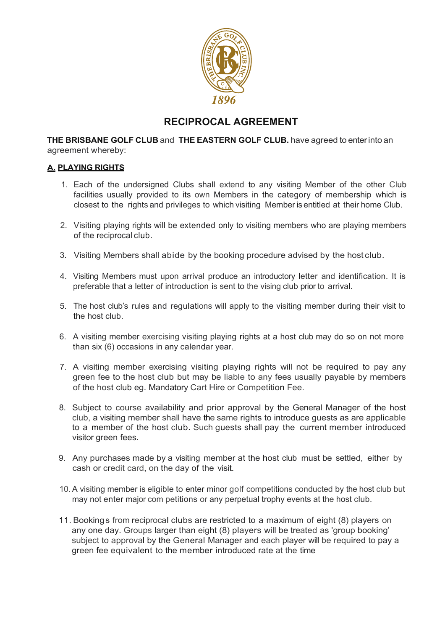

## **RECIPROCAL AGREEMENT**

**THE BRISBANE GOLF CLUB** and **THE EASTERN GOLF CLUB.** have agreed to enterinto an agreement whereby:

## **A. PLAYING RIGHTS**

- 1. Each of the undersigned Clubs shall extend to any visiting Member of the other Club facilities usually provided to its own Members in the category of membership which is closest to the rights and privileges to which visiting Member is entitled at their home Club.
- 2. Visiting playing rights will be extended only to visiting members who are playing members of the reciprocal club.
- 3. Visiting Members shall abide by the booking procedure advised by the host club.
- 4. Visiting Members must upon arrival produce an introductory letter and identification. It is preferable that a letter of introduction is sent to the vising club prior to arrival.
- 5. The host club's rules and regulations will apply to the visiting member during their visit to the host club.
- 6. A visiting member exercising visiting playing rights at a host club may do so on not more than six (6) occasions in any calendar year.
- 7. A visiting member exercising visiting playing rights will not be required to pay any green fee to the host club but may be liable to any fees usually payable by members of the host club eg. Mandatory Cart Hire or Competition Fee.
- 8. Subject to course availability and prior approval by the General Manager of the host club, a visiting member shall have the same rights to introduce guests as are applicable to a member of the host club. Such guests shall pay the current member introduced visitor green fees.
- 9. Any purchases made by a visiting member at the host club must be settled, either by cash or credit card, on the day of the visit.
- 10. A visiting member is eligible to enter minor golf competitions conducted by the host club but may not enter major com petitions or any perpetual trophy events at the host club.
- 11. Bookings from reciprocal clubs are restricted to a maximum of eight (8) players on any one day. Groups larger than eight (8) players will be treated as 'group booking' subject to approval by the General Manager and each player will be required to pay a green fee equivalent to the member introduced rate at the time